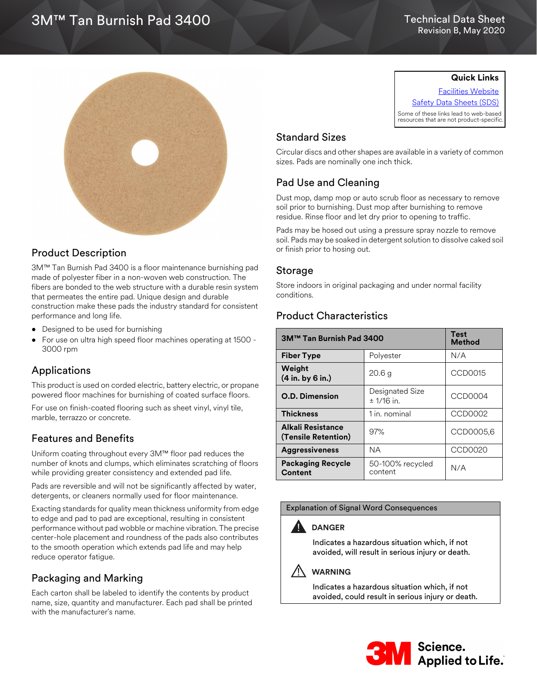# 3M™ Tan Burnish Pad 3400

#### Technical Data Sheet Revision B, May 2020



## Product Description

3M™ Tan Burnish Pad 3400 is a floor maintenance burnishing pad made of polyester fiber in a non-woven web construction. The fibers are bonded to the web structure with a durable resin system that permeates the entire pad. Unique design and durable construction make these pads the industry standard for consistent performance and long life.

- Designed to be used for burnishing
- For use on ultra high speed floor machines operating at 1500 3000 rpm

# Applications

This product is used on corded electric, battery electric, or propane powered floor machines for burnishing of coated surface floors.

For use on finish-coated flooring such as sheet vinyl, vinyl tile, marble, terrazzo or concrete.

### Features and Benefits

Uniform coating throughout every 3M™ floor pad reduces the number of knots and clumps, which eliminates scratching of floors while providing greater consistency and extended pad life.

Pads are reversible and will not be significantly affected by water, detergents, or cleaners normally used for floor maintenance.

Exacting standards for quality mean thickness uniformity from edge to edge and pad to pad are exceptional, resulting in consistent performance without pad wobble or machine vibration. The precise center-hole placement and roundness of the pads also contributes to the smooth operation which extends pad life and may help reduce operator fatigue.

# Packaging and Marking

Each carton shall be labeled to identify the contents by product name, size, quantity and manufacturer. Each pad shall be printed with the manufacturer's name.

**Quick Links**

[Facilities Website](www.mmm.com/facilities) [Safety Data Sheets \(SDS\)](https://www.3m.com/3M/en_US/commercial-cleaning-us/resources/sds-finder/) Some of these links lead to web-based resources that are not product-specific.

# Standard Sizes

Circular discs and other shapes are available in a variety of common sizes. Pads are nominally one inch thick.

# Pad Use and Cleaning

Dust mop, damp mop or auto scrub floor as necessary to remove soil prior to burnishing. Dust mop after burnishing to remove residue. Rinse floor and let dry prior to opening to traffic.

Pads may be hosed out using a pressure spray nozzle to remove soil. Pads may be soaked in detergent solution to dissolve caked soil or finish prior to hosing out.

#### Storage

Store indoors in original packaging and under normal facility conditions.

## Product Characteristics

| 3M™ Tan Burnish Pad 3400                 |                                 | <b>Test</b><br><b>Method</b> |
|------------------------------------------|---------------------------------|------------------------------|
| <b>Fiber Type</b>                        | Polyester                       | N/A                          |
| Weight<br>(4 in. by 6 in.)               | 20.6 <sub>g</sub>               | CCD0015                      |
| <b>O.D. Dimension</b>                    | Designated Size<br>$± 1/16$ in. | CCD0004                      |
| <b>Thickness</b>                         | 1 in. nominal                   | CCD0002                      |
| Alkali Resistance<br>(Tensile Retention) | 97%                             | CCD0005,6                    |
| <b>Aggressiveness</b>                    | NА                              | CCD0020                      |
| <b>Packaging Recycle</b><br>Content      | 50-100% recycled<br>content     | N/A                          |

#### Explanation of Signal Word Consequences

### **A** DANGER

Indicates a hazardous situation which, if not avoided, will result in serious injury or death.

# ! **WARNING**

Indicates a hazardous situation which, if not avoided, could result in serious injury or death.